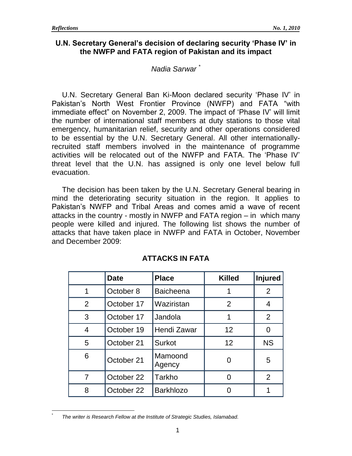$\overline{a}$ \*

### **U.N. Secretary General's decision of declaring security 'Phase IV' in the NWFP and FATA region of Pakistan and its impact**

#### *Nadia Sarwar \**

U.N. Secretary General Ban Ki-Moon declared security "Phase IV" in Pakistan"s North West Frontier Province (NWFP) and FATA "with immediate effect" on November 2, 2009. The impact of "Phase IV" will limit the number of international staff members at duty stations to those vital emergency, humanitarian relief, security and other operations considered to be essential by the U.N. Secretary General. All other internationallyrecruited staff members involved in the maintenance of programme activities will be relocated out of the NWFP and FATA. The "Phase IV" threat level that the U.N. has assigned is only one level below full evacuation.

The decision has been taken by the U.N. Secretary General bearing in mind the deteriorating security situation in the region. It applies to Pakistan"s NWFP and Tribal Areas and comes amid a wave of recent attacks in the country - mostly in NWFP and FATA region – in which many people were killed and injured. The following list shows the number of attacks that have taken place in NWFP and FATA in October, November and December 2009:

|   | <b>Date</b> | <b>Place</b>      | <b>Killed</b>  | <b>Injured</b> |
|---|-------------|-------------------|----------------|----------------|
| 1 | October 8   | <b>Baicheena</b>  |                | 2              |
| 2 | October 17  | Waziristan        | $\overline{2}$ | 4              |
| 3 | October 17  | Jandola           |                | 2              |
| 4 | October 19  | Hendi Zawar       | 12             | 0              |
| 5 | October 21  | <b>Surkot</b>     | 12             | <b>NS</b>      |
| 6 | October 21  | Mamoond<br>Agency |                | 5              |
| 7 | October 22  | Tarkho            | O              | 2              |
| 8 | October 22  | <b>Barkhlozo</b>  |                |                |

# **ATTACKS IN FATA**

*The writer is Research Fellow at the Institute of Strategic Studies, Islamabad.*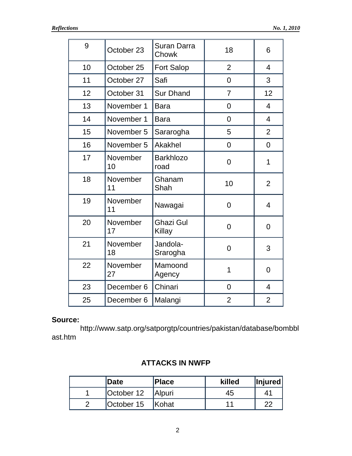| 9  | October 23     | <b>Suran Darra</b><br>Chowk | 18             | 6              |
|----|----------------|-----------------------------|----------------|----------------|
| 10 | October 25     | <b>Fort Salop</b>           | $\overline{2}$ | $\overline{4}$ |
| 11 | October 27     | Safi                        | 0              | 3              |
| 12 | October 31     | <b>Sur Dhand</b>            | $\overline{7}$ | 12             |
| 13 | November 1     | <b>Bara</b>                 | 0              | $\overline{4}$ |
| 14 | November 1     | <b>Bara</b>                 | $\overline{0}$ | $\overline{4}$ |
| 15 | November 5     | Sararogha                   | 5              | $\overline{2}$ |
| 16 | November 5     | Akakhel                     | $\mathbf 0$    | $\overline{0}$ |
| 17 | November<br>10 | <b>Barkhlozo</b><br>road    | $\overline{0}$ | 1              |
| 18 | November<br>11 | Ghanam<br>Shah              | 10             | $\overline{2}$ |
| 19 | November<br>11 | Nawagai                     | $\overline{0}$ | $\overline{4}$ |
| 20 | November<br>17 | <b>Ghazi Gul</b><br>Killay  | $\overline{0}$ | $\overline{0}$ |
| 21 | November<br>18 | Jandola-<br>Srarogha        | $\overline{0}$ | 3              |
| 22 | November<br>27 | Mamoond<br>Agency           | $\overline{1}$ | $\overline{0}$ |
| 23 | December 6     | Chinari                     | 0              | $\overline{4}$ |
| 25 | December 6     | Malangi                     | $\overline{2}$ | $\overline{2}$ |

## **Source:**

http://www.satp.org/satporgtp/countries/pakistan/database/bombbl ast.htm

## **ATTACKS IN NWFP**

| Date       | <b>Place</b>  | killed | <i>Injured</i> |
|------------|---------------|--------|----------------|
| October 12 | <b>Alpuri</b> | 45     | 41             |
| October 15 | <b>Kohat</b>  | 11     | 22             |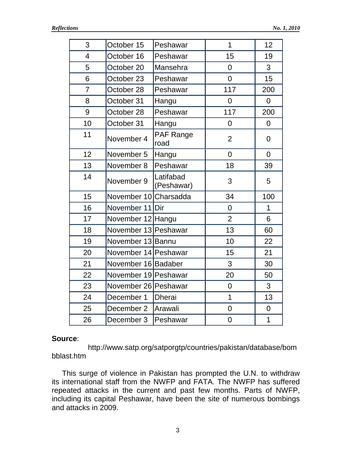| 3              | October 15            | Peshawar                | 1              | 12             |
|----------------|-----------------------|-------------------------|----------------|----------------|
| 4              | October 16            | Peshawar                | 15             | 19             |
| 5              | October 20            | Mansehra                | $\overline{0}$ | 3              |
| 6              | October 23            | Peshawar                | $\overline{0}$ | 15             |
| $\overline{7}$ | October 28            | Peshawar                | 117            | 200            |
| 8              | October 31            | Hangu                   | 0              | $\overline{0}$ |
| 9              | October 28            | Peshawar                | 117            | 200            |
| 10             | October 31            | Hangu                   | $\overline{0}$ | $\overline{0}$ |
| 11             | November 4            | PAF Range<br>road       | $\overline{2}$ | 0              |
| 12             | November 5            | Hangu                   | $\overline{0}$ | $\overline{0}$ |
| 13             | November 8            | Peshawar                | 18             | 39             |
| 14             | November 9            | Latifabad<br>(Peshawar) | 3              | 5              |
| 15             | November 10 Charsadda |                         | 34             | 100            |
| 16             | November 11 Dir       |                         | $\overline{0}$ | $\mathbf{1}$   |
| 17             | November 12 Hangu     |                         | $\overline{2}$ | 6              |
| 18             | November 13 Peshawar  |                         | 13             | 60             |
| 19             | November 13 Bannu     |                         | 10             | 22             |
| 20             | November 14 Peshawar  |                         | 15             | 21             |
| 21             | November 16 Badaber   |                         | 3              | 30             |
| 22             | November 19 Peshawar  |                         | 20             | 50             |
| 23             | November 26 Peshawar  |                         | $\overline{0}$ | 3              |
| 24             | December 1            | <b>Dherai</b>           | $\overline{1}$ | 13             |
| 25             | December 2            | Arawali                 | $\mathbf 0$    | $\mathbf 0$    |
| 26             | December 3            | Peshawar                | $\mathbf 0$    | $\mathbf 1$    |

#### **Source**:

http://www.satp.org/satporgtp/countries/pakistan/database/bom bblast.htm

This surge of violence in Pakistan has prompted the U.N. to withdraw its international staff from the NWFP and FATA. The NWFP has suffered repeated attacks in the current and past few months. Parts of NWFP, including its capital Peshawar, have been the site of numerous bombings and attacks in 2009.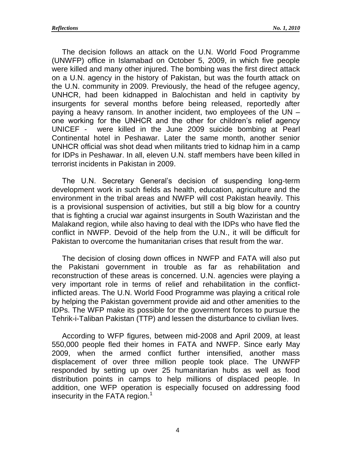The decision follows an attack on the U.N. World Food Programme (UNWFP) office in Islamabad on October 5, 2009, in which five people were killed and many other injured. The bombing was the first direct attack on a U.N. agency in the history of Pakistan, but was the fourth attack on the U.N. community in 2009. Previously, the head of the refugee agency, UNHCR, had been kidnapped in Balochistan and held in captivity by insurgents for several months before being released, reportedly after paying a heavy ransom. In another incident, two employees of the UN – one working for the UNHCR and the other for children"s relief agency UNICEF - were killed in the June 2009 suicide bombing at Pearl Continental hotel in Peshawar. Later the same month, another senior UNHCR official was shot dead when militants tried to kidnap him in a camp for IDPs in Peshawar. In all, eleven U.N. staff members have been killed in terrorist incidents in Pakistan in 2009.

The U.N. Secretary General"s decision of suspending long-term development work in such fields as health, education, agriculture and the environment in the tribal areas and NWFP will cost Pakistan heavily. This is a provisional suspension of activities, but still a big blow for a country that is fighting a crucial war against insurgents in South Waziristan and the Malakand region, while also having to deal with the IDPs who have fled the conflict in NWFP. Devoid of the help from the U.N., it will be difficult for Pakistan to overcome the humanitarian crises that result from the war.

The decision of closing down offices in NWFP and FATA will also put the Pakistani government in trouble as far as rehabilitation and reconstruction of these areas is concerned. U.N. agencies were playing a very important role in terms of relief and rehabilitation in the conflictinflicted areas. The U.N. World Food Programme was playing a critical role by helping the Pakistan government provide aid and other amenities to the IDPs. The WFP make its possible for the government forces to pursue the Tehrik-i-Taliban Pakistan (TTP) and lessen the disturbance to civilian lives.

According to WFP figures, between mid-2008 and April 2009, at least 550,000 people fled their homes in FATA and NWFP. Since early May 2009, when the armed conflict further intensified, another mass displacement of over three million people took place. The UNWFP responded by setting up over 25 humanitarian hubs as well as food distribution points in camps to help millions of displaced people. In addition, one WFP operation is especially focused on addressing food insecurity in the FATA region. $<sup>1</sup>$ </sup>